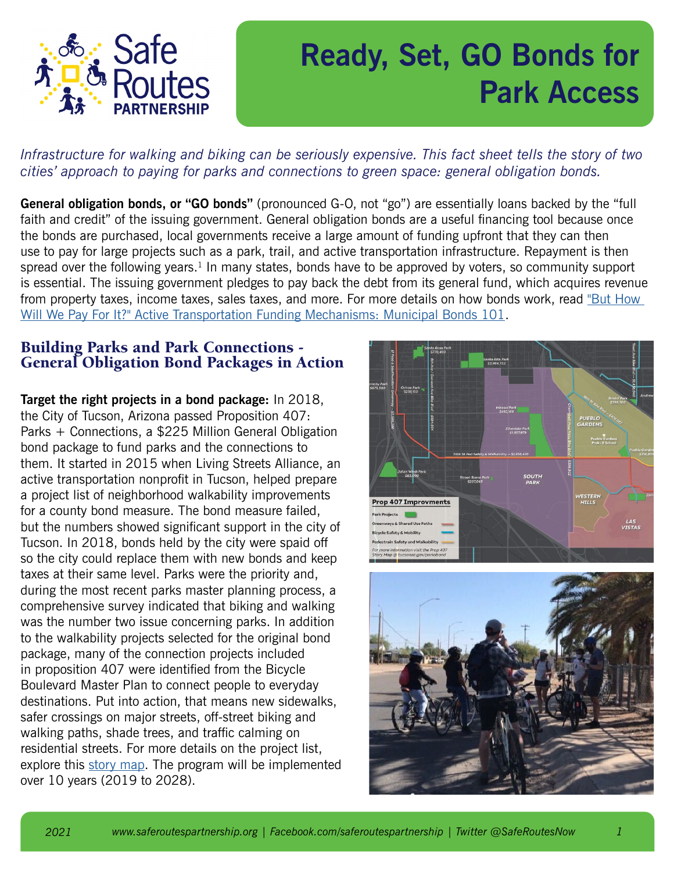

## **Ready, Set, GO Bonds for Park Access**

## *Infrastructure for walking and biking can be seriously expensive. This fact sheet tells the story of two cities' approach to paying for parks and connections to green space: general obligation bonds.*

**General obligation bonds, or "GO bonds"** (pronounced G-O, not "go") are essentially loans backed by the "full faith and credit" of the issuing government. General obligation bonds are a useful financing tool because once the bonds are purchased, local governments receive a large amount of funding upfront that they can then use to pay for large projects such as a park, trail, and active transportation infrastructure. Repayment is then spread over the following years.<sup>1</sup> In many states, bonds have to be approved by voters, so community support is essential. The issuing government pledges to pay back the debt from its general fund, which acquires revenue from property taxes, income taxes, sales taxes, and more. For more details on how bonds work, read "But How [Will We Pay For It?" Active Transportation Funding Mechanisms: Municipal Bonds 101](https://www.saferoutespartnership.org/resources/fact-sheet/municipal-bonds-101).

## Building Parks and Park Connections - General Obligation Bond Packages in Action

**Target the right projects in a bond package:** In 2018, the City of Tucson, Arizona passed Proposition 407: Parks + Connections, a \$225 Million General Obligation bond package to fund parks and the connections to them. It started in 2015 when Living Streets Alliance, an active transportation nonprofit in Tucson, helped prepare a project list of neighborhood walkability improvements for a county bond measure. The bond measure failed, but the numbers showed significant support in the city of Tucson. In 2018, bonds held by the city were spaid off so the city could replace them with new bonds and keep taxes at their same level. Parks were the priority and, during the most recent parks master planning process, a comprehensive survey indicated that biking and walking was the number two issue concerning parks. In addition to the walkability projects selected for the original bond package, many of the connection projects included in proposition 407 were identified from the Bicycle Boulevard Master Plan to connect people to everyday destinations. Put into action, that means new sidewalks, safer crossings on major streets, off-street biking and walking paths, shade trees, and traffic calming on residential streets. For more details on the project list, explore this [story map](https://cotgis.maps.arcgis.com/apps/MapJournal/index.html?appid=1ecc433d37e141e198ab9301bdc1a736). The program will be implemented over 10 years (2019 to 2028).